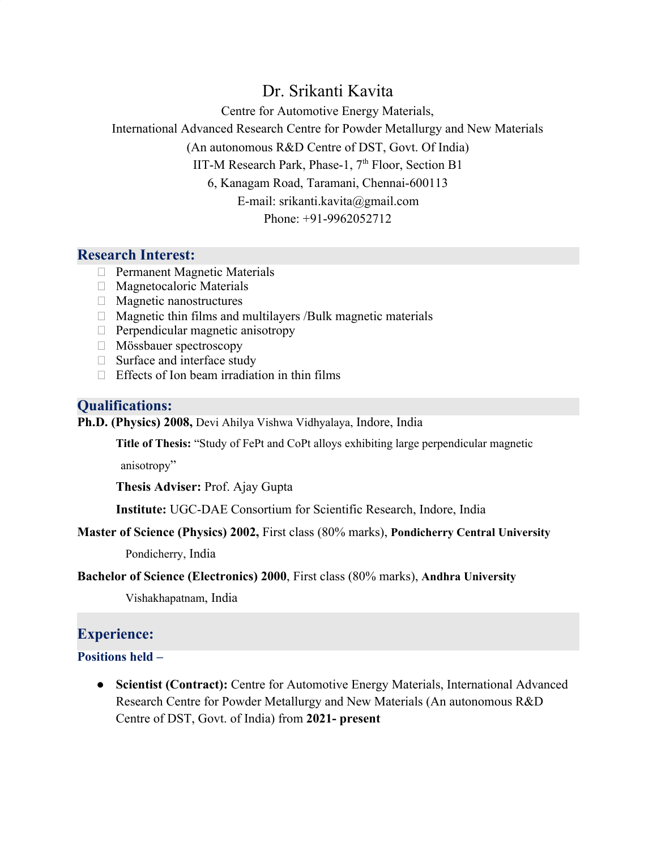# Dr. Srikanti Kavita

Centre for Automotive Energy Materials,

International Advanced Research Centre for Powder Metallurgy and New Materials

(An autonomous R&D Centre of DST, Govt. Of India)

IIT-M Research Park, Phase-1, 7<sup>th</sup> Floor, Section B1

6, Kanagam Road, Taramani, Chennai-600113

E-mail: srikanti.kavita@gmail.com

Phone: +91-9962052712

### **Research Interest:**

- **Permanent Magnetic Materials**
- Magnetocaloric Materials
- $\Box$  Magnetic nanostructures
- $\Box$  Magnetic thin films and multilayers /Bulk magnetic materials
- $\Box$  Perpendicular magnetic anisotropy
- Mössbauer spectroscopy
- $\Box$  Surface and interface study
- $\Box$  Effects of Ion beam irradiation in thin films

#### **Qualifications:**

**Ph.D. (Physics) 2008,** Devi Ahilya Vishwa Vidhyalaya, Indore, India

**Title of Thesis:** "Study of FePt and CoPt alloys exhibiting large perpendicular magnetic

anisotropy"

**Thesis Adviser:** Prof. Ajay Gupta

**Institute:** UGC-DAE Consortium for Scientific Research, Indore, India

#### **Master of Science (Physics) 2002,** First class (80% marks), **Pondicherry Central University**

Pondicherry, India

**Bachelor of Science (Electronics) 2000**, First class (80% marks), **Andhra University**

Vishakhapatnam, India

## **Experience:**

#### **Positions held –**

● **Scientist (Contract):** Centre for Automotive Energy Materials, International Advanced Research Centre for Powder Metallurgy and New Materials (An autonomous R&D Centre of DST, Govt. of India) from **2021- present**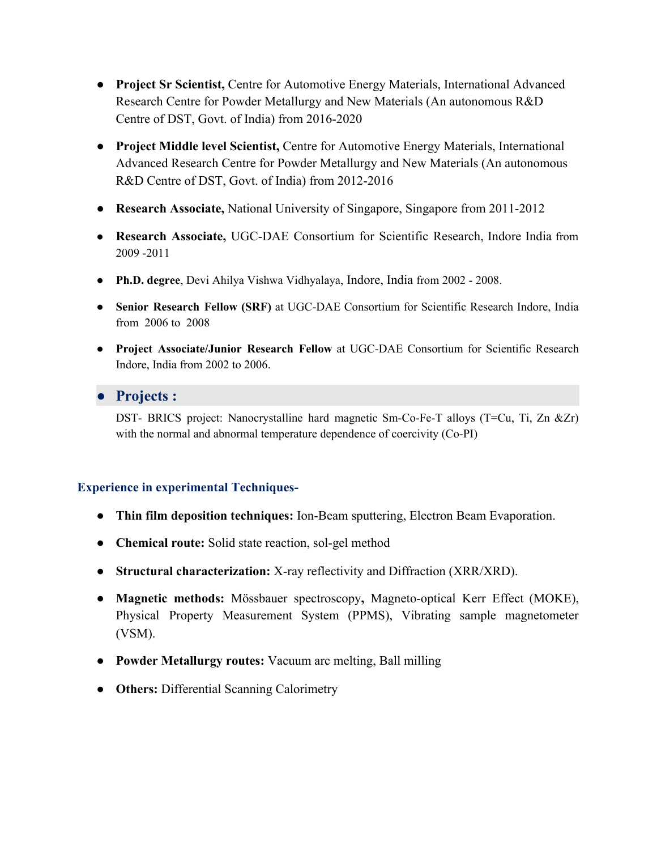- **Project Sr Scientist,** Centre for Automotive Energy Materials, International Advanced Research Centre for Powder Metallurgy and New Materials (An autonomous R&D Centre of DST, Govt. of India) from 2016-2020
- **Project Middle level Scientist,** Centre for Automotive Energy Materials, International Advanced Research Centre for Powder Metallurgy and New Materials (An autonomous R&D Centre of DST, Govt. of India) from 2012-2016
- **Research Associate,** National University of Singapore, Singapore from 2011-2012
- **Research Associate,** UGC-DAE Consortium for Scientific Research, Indore India from 2009 -2011
- **Ph.D. degree**, Devi Ahilya Vishwa Vidhyalaya, Indore, India from 2002 2008.
- **Senior Research Fellow (SRF)** at UGC-DAE Consortium for Scientific Research Indore, India from 2006 to 2008
- **Project Associate/Junior Research Fellow** at UGC-DAE Consortium for Scientific Research Indore, India from 2002 to 2006.

## ● **Projects :**

DST- BRICS project: Nanocrystalline hard magnetic Sm-Co-Fe-T alloys (T=Cu, Ti, Zn &Zr) with the normal and abnormal temperature dependence of coercivity (Co-PI)

#### **Experience in experimental Techniques-**

- **Thin film deposition techniques:** Ion-Beam sputtering, Electron Beam Evaporation.
- **Chemical route:** Solid state reaction, sol-gel method
- **Structural characterization:** X-ray reflectivity and Diffraction (XRR/XRD).
- **Magnetic methods:** Mössbauer spectroscopy**,** Magneto-optical Kerr Effect (MOKE), Physical Property Measurement System (PPMS), Vibrating sample magnetometer (VSM).
- **Powder Metallurgy routes:** Vacuum arc melting, Ball milling
- **Others:** Differential Scanning Calorimetry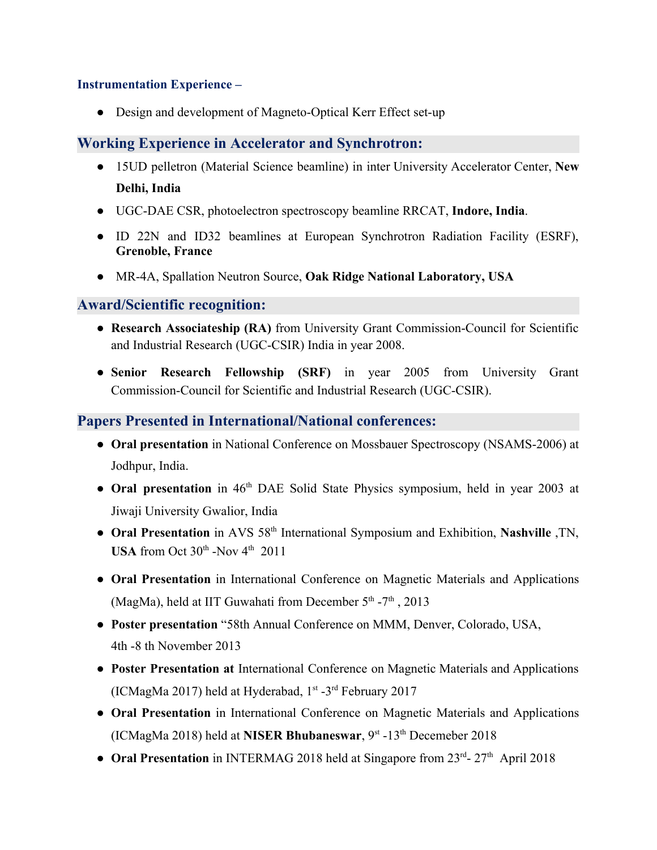#### **Instrumentation Experience –**

• Design and development of Magneto-Optical Kerr Effect set-up

### **Working Experience in Accelerator and Synchrotron:**

- 15UD pelletron (Material Science beamline) in inter University Accelerator Center, **New Delhi, India**
- UGC-DAE CSR, photoelectron spectroscopy beamline RRCAT, **Indore, India**.
- ID 22N and ID32 beamlines at European Synchrotron Radiation Facility (ESRF), **Grenoble, France**
- MR-4A, Spallation Neutron Source, **Oak Ridge National Laboratory, USA**

#### **Award/Scientific recognition:**

- **Research Associateship (RA)** from University Grant Commission-Council for Scientific and Industrial Research (UGC-CSIR) India in year 2008.
- **Senior Research Fellowship (SRF)** in year 2005 from University Grant Commission-Council for Scientific and Industrial Research (UGC-CSIR).

## **Papers Presented in International/National conferences:**

- **Oral presentation** in National Conference on Mossbauer Spectroscopy (NSAMS-2006) at Jodhpur, India.
- Oral presentation in 46<sup>th</sup> DAE Solid State Physics symposium, held in year 2003 at Jiwaji University Gwalior, India
- **Oral Presentation** in AVS 58<sup>th</sup> International Symposium and Exhibition, Nashville, TN, **USA** from Oct  $30<sup>th</sup>$  -Nov  $4<sup>th</sup>$  2011
- **Oral Presentation** in International Conference on Magnetic Materials and Applications (MagMa), held at IIT Guwahati from December  $5<sup>th</sup> - 7<sup>th</sup>$ , 2013
- **Poster presentation** "58th Annual Conference on MMM, Denver, Colorado, USA, 4th -8 th November 2013
- **Poster Presentation at** International Conference on Magnetic Materials and Applications (ICMagMa 2017) held at Hyderabad, 1<sup>st</sup> -3<sup>rd</sup> February 2017
- **Oral Presentation** in International Conference on Magnetic Materials and Applications (ICMagMa 2018) held at **NISER Bhubaneswar**, 9st -13th Decemeber 2018
- Oral Presentation in INTERMAG 2018 held at Singapore from 23<sup>rd</sup>- 27<sup>th</sup> April 2018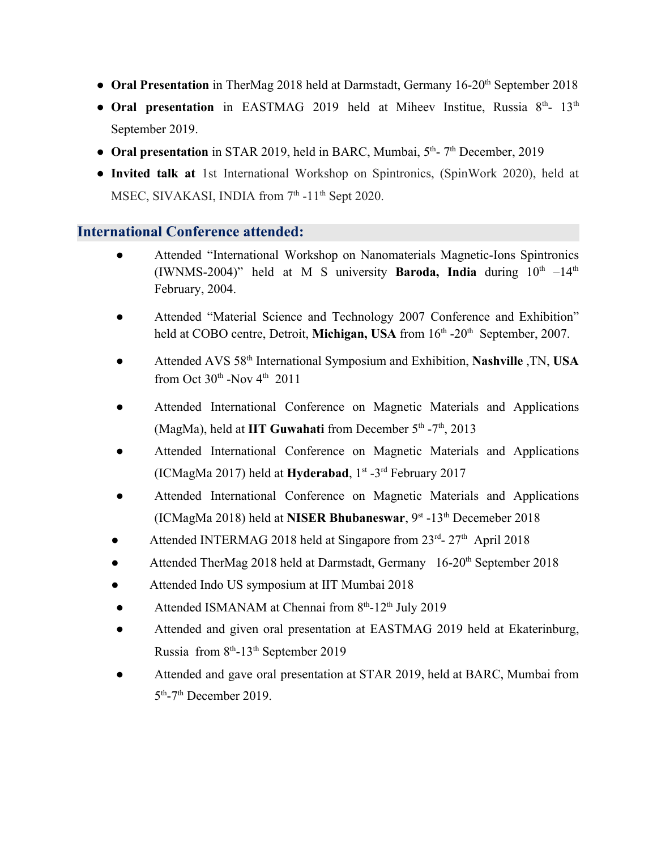- Oral Presentation in TherMag 2018 held at Darmstadt, Germany 16-20<sup>th</sup> September 2018
- Oral presentation in EASTMAG 2019 held at Miheev Institue, Russia 8<sup>th</sup>- 13<sup>th</sup> September 2019.
- Oral presentation in STAR 2019, held in BARC, Mumbai, 5<sup>th</sup>-7<sup>th</sup> December, 2019
- **Invited talk at** 1st International Workshop on Spintronics, (SpinWork 2020), held at MSEC, SIVAKASI, INDIA from 7<sup>th</sup> -11<sup>th</sup> Sept 2020.

#### **International Conference attended:**

- Attended "International Workshop on Nanomaterials Magnetic-Ions Spintronics (IWNMS-2004)" held at M S university **Baroda, India** during  $10^{th}$  -14<sup>th</sup> February, 2004.
- Attended "Material Science and Technology 2007 Conference and Exhibition" held at COBO centre, Detroit, Michigan, USA from 16<sup>th</sup> -20<sup>th</sup> September, 2007.
- Attended AVS 58th International Symposium and Exhibition, **Nashville** ,TN, **USA** from Oct  $30<sup>th</sup>$  -Nov 4<sup>th</sup> 2011
- Attended International Conference on Magnetic Materials and Applications (MagMa), held at **IIT Guwahati** from December 5<sup>th</sup> -7<sup>th</sup>, 2013
- Attended International Conference on Magnetic Materials and Applications (ICMagMa 2017) held at **Hyderabad**, 1st -3rd February 2017
- Attended International Conference on Magnetic Materials and Applications (ICMagMa 2018) held at **NISER Bhubaneswar**, 9st -13th Decemeber 2018
- Attended INTERMAG 2018 held at Singapore from 23<sup>rd</sup>- 27<sup>th</sup> April 2018
- Attended TherMag 2018 held at Darmstadt, Germany 16-20<sup>th</sup> September 2018
- Attended Indo US symposium at IIT Mumbai 2018
- Attended ISMANAM at Chennai from  $8<sup>th</sup>$ -12<sup>th</sup> July 2019
- Attended and given oral presentation at EASTMAG 2019 held at Ekaterinburg, Russia from 8<sup>th</sup>-13<sup>th</sup> September 2019
- Attended and gave oral presentation at STAR 2019, held at BARC, Mumbai from  $5<sup>th</sup>$ -7<sup>th</sup> December 2019.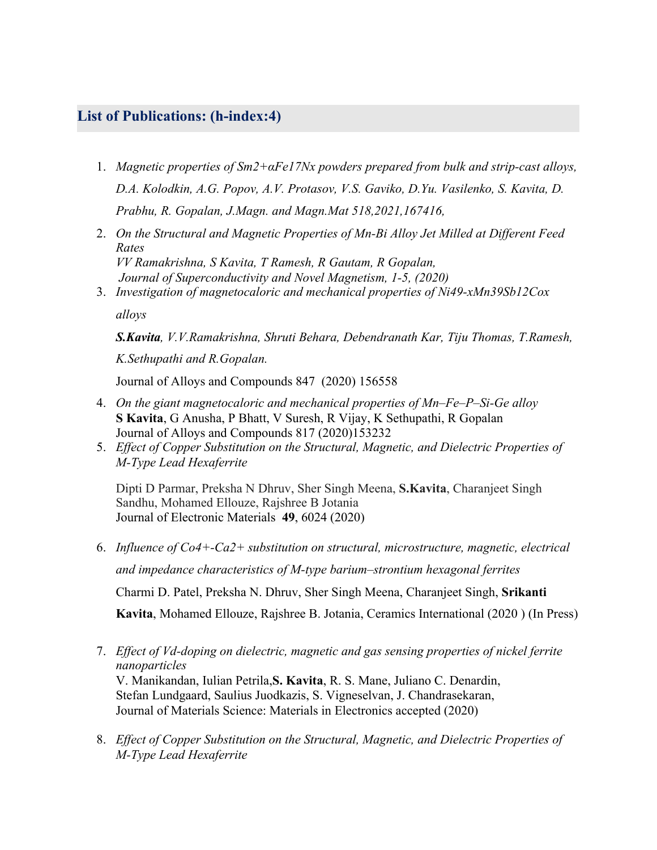## **List of Publications: (h-index:4)**

- 1. *Magnetic properties of Sm2+αFe17Nx powders prepared from bulk and strip-cast alloys, D.A. Kolodkin, A.G. Popov, A.V. Protasov, V.S. Gaviko, D.Yu. Vasilenko, S. Kavita, D. Prabhu, R. Gopalan, J.Magn. and Magn.Mat 518,2021,167416,*
- 2. *On the Structural and Magnetic Properties of Mn-Bi Alloy Jet Milled at Different Feed Rates VV Ramakrishna, S Kavita, T Ramesh, R Gautam, R Gopalan, Journal of Superconductivity and Novel Magnetism, 1-5, (2020)*
- 3. *Investigation of magnetocaloric and mechanical properties of Ni49-xMn39Sb12Cox*

*alloys*

*S.Kavita, V.V.Ramakrishna, Shruti Behara, Debendranath Kar, Tiju Thomas, T.Ramesh, K.Sethupathi and R.Gopalan.*

Journal of Alloys and Compounds 847 (2020) 156558

- 4. *On the giant magnetocaloric and mechanical properties of Mn–Fe–P–Si-Ge alloy* **S Kavita**, G Anusha, P Bhatt, V Suresh, R Vijay, K Sethupathi, R Gopalan Journal of Alloys and Compounds 817 (2020)153232
- 5. *[Effect of Copper Substitution on the Structural, Magnetic, and Dielectric Properties of](https://link.springer.com/article/10.1007/s11664-020-08326-0) [M-Type Lead Hexaferrite](https://link.springer.com/article/10.1007/s11664-020-08326-0)*

Dipti D Parmar, Preksha N Dhruv, Sher Singh Meena, **S.Kavita**, Charanjeet Singh Sandhu, Mohamed Ellouze, Rajshree B Jotania [Journal of Electronic Materials](https://link.springer.com/journal/11664) **49**, 6024 (2020)

- 6. *Influence of Co4+-Ca2+ substitution on structural, microstructure, magnetic, electrical and impedance characteristics of M-type barium–strontium hexagonal ferrites* Charmi D. Patel, Preksha N. Dhruv, Sher Singh Meena, Charanjeet Singh, **Srikanti Kavita**, Mohamed Ellouze, Rajshree B. Jotania, Ceramics International (2020 ) (In Press)
- 7. *[Effect of Vd-doping on dielectric, magnetic and gas sensing properties of nickel ferrite](https://link.springer.com/article/10.1007/s10854-020-04228-3) [nanoparticles](https://link.springer.com/article/10.1007/s10854-020-04228-3)* V. Manikandan, Iulian Petrila,**S. Kavita**, R. S. Mane, Juliano C. Denardin, Stefan Lundgaard, Saulius Juodkazis, S. Vigneselvan, J. Chandrasekaran, Journal of Materials Science: Materials in Electronics accepted (2020)
- 8. *[Effect of Copper Substitution on the Structural, Magnetic, and Dielectric Properties of](https://link.springer.com/article/10.1007/s11664-020-08326-0) [M-Type Lead Hexaferrite](https://link.springer.com/article/10.1007/s11664-020-08326-0)*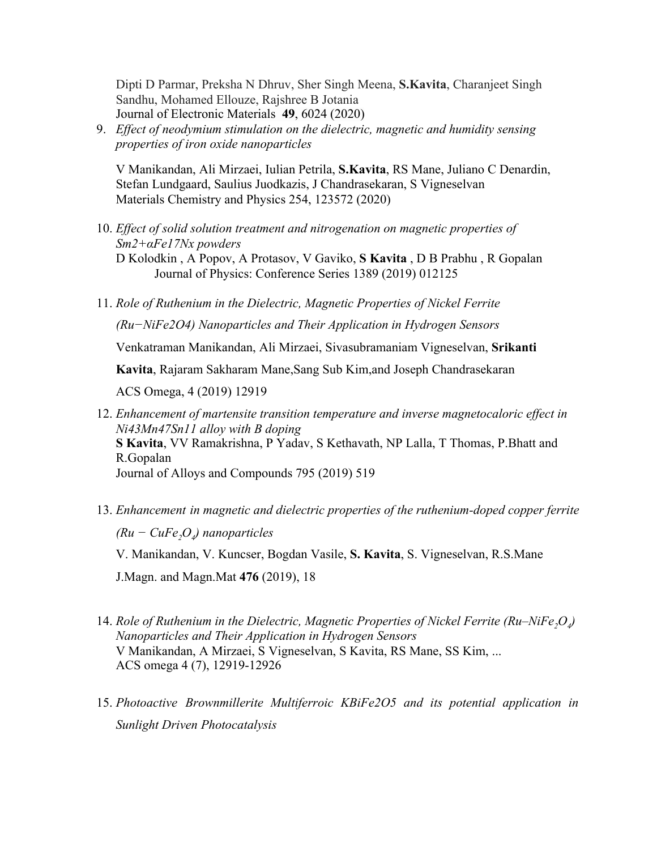Dipti D Parmar, Preksha N Dhruv, Sher Singh Meena, **S.Kavita**, Charanjeet Singh Sandhu, Mohamed Ellouze, Rajshree B Jotania [Journal of Electronic Materials](https://link.springer.com/journal/11664) **49**, 6024 (2020)

9. *[Effect of neodymium stimulation on the dielectric, magnetic and humidity sensing](https://www.sciencedirect.com/science/article/pii/S0254058420309366) [properties of iron oxide nanoparticles](https://www.sciencedirect.com/science/article/pii/S0254058420309366)*

V Manikandan, Ali Mirzaei, Iulian Petrila, **S.Kavita**, RS Mane, Juliano C Denardin, Stefan Lundgaard, Saulius Juodkazis, J Chandrasekaran, S Vigneselvan Materials Chemistry and Physics 254, 123572 (2020)

- 10. *Effect of solid solution treatment and nitrogenation on magnetic properties of Sm2+αFe17Nx powders* D Kolodkin , A Popov, A Protasov, V Gaviko, **S Kavita** , D B Prabhu , R Gopalan Journal of Physics: Conference Series 1389 (2019) 012125
- 11. *Role of Ruthenium in the Dielectric, Magnetic Properties of Nickel Ferrite (Ru−NiFe2O4) Nanoparticles and Their Application in Hydrogen Sensors*

Venkatraman Manikandan, Ali Mirzaei, Sivasubramaniam Vigneselvan, **Srikanti**

**Kavita**, Rajaram Sakharam Mane,Sang Sub Kim,and Joseph Chandrasekaran

ACS Omega, 4 (2019) 12919

- 12. *Enhancement of martensite transition temperature and inverse magnetocaloric effect in Ni43Mn47Sn11 alloy with B doping* **S Kavita**, VV Ramakrishna, P Yadav, S Kethavath, NP Lalla, T Thomas, P.Bhatt and R.Gopalan Journal of Alloys and Compounds 795 (2019) 519
- 13. *Enhancement in magnetic and dielectric properties of the ruthenium-doped copper ferrite (Ru − CuFe2O<sup>4</sup> ) nanoparticles* V. Manikandan, V. Kuncser, Bogdan Vasile, **S. Kavita**, S. Vigneselvan, R.S.Mane

J.Magn. and Magn.Mat **476** (2019), 18

- 14. *Role of Ruthenium in the Dielectric, Magnetic Properties of Nickel Ferrite (Ru–NiFe2O<sup>4</sup> ) Nanoparticles and Their Application in Hydrogen Sensors* V Manikandan, A Mirzaei, S Vigneselvan, S Kavita, RS Mane, SS Kim, ... ACS omega 4 (7), 12919-12926
- 15. *Photoactive Brownmillerite Multiferroic KBiFe2O5 and its potential application in Sunlight Driven Photocatalysis*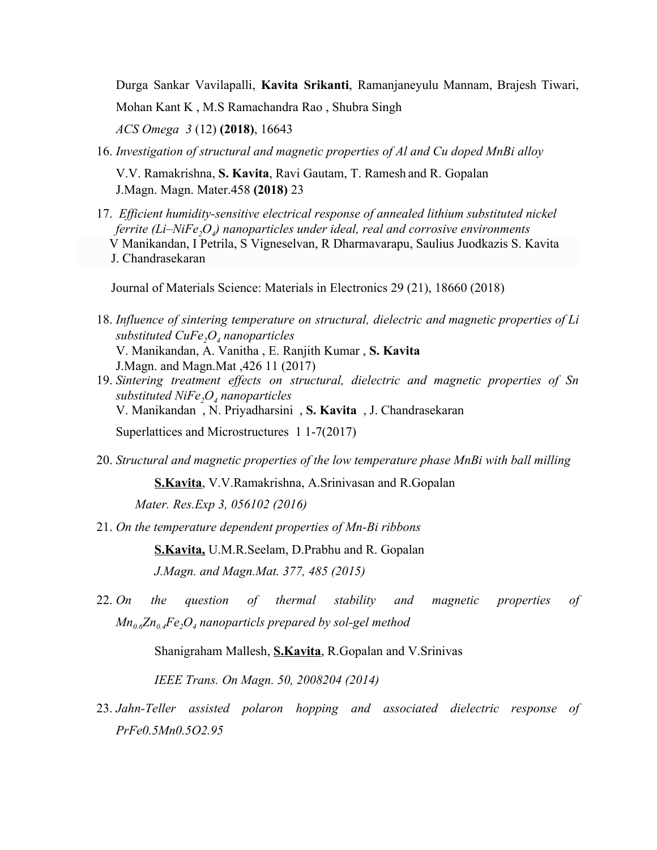Durga Sankar Vavilapalli, **Kavita Srikanti**, Ramanjaneyulu Mannam, Brajesh Tiwari,

Mohan Kant K , M.S Ramachandra Rao , Shubra Singh

*ACS Omega 3* (12) **(2018)**, 16643

16. *Investigation of structural and magnetic properties of Al and Cu doped MnBi alloy*

V.V. Ramakrishna, **S. Kavita**, Ravi Gautam, T. Ramesh and R. Gopalan J.Magn. Magn. Mater.458 **(2018)** 23

17. *Efficient humidity-sensitive electrical response of annealed lithium substituted nickel ferrite (Li–NiFe2O<sup>4</sup> ) nanoparticles under ideal, real and corrosive environments* V Manikandan, I Petrila, S Vigneselvan, R Dharmavarapu, Saulius Juodkazis S. Kavita J. Chandrasekaran

Journal of Materials Science: Materials in Electronics 29 (21), 18660 (2018)

- 18. *Influence of sintering temperature on structural, dielectric and magnetic properties of Li substituted CuFe2O<sup>4</sup> nanoparticles* V. Manikandan, A. Vanitha , E. Ranjith Kumar , **S. Kavita** J.Magn. and Magn.Mat ,426 11 (2017)
- 19. *Sintering treatment effects on structural, dielectric and magnetic properties of Sn substituted NiFe2O<sup>4</sup> nanoparticles* V. Manikandan , N. Priyadharsini , **S. Kavita** , J. Chandrasekaran Superlattices and Microstructures 1 1-7(2017)
- 20. *Structural and magnetic properties of the low temperature phase MnBi with ball milling*

**S.Kavita**, V.V.Ramakrishna, A.Srinivasan and R.Gopalan

*Mater. Res.Exp 3, 056102 (2016)*

21. *On the temperature dependent properties of Mn-Bi ribbons*

**S.Kavita,** U.M.R.Seelam, D.Prabhu and R. Gopalan *J.Magn. and Magn.Mat. 377, 485 (2015)*

22. *On the question of thermal stability and magnetic properties of Mn0.6Zn0.4Fe2O<sup>4</sup> nanoparticls prepared by sol-gel method*

Shanigraham Mallesh, **S.Kavita**, R.Gopalan and V.Srinivas

*IEEE Trans. On Magn. 50, 2008204 (2014)*

23. *Jahn-Teller assisted polaron hopping and associated dielectric response of PrFe0.5Mn0.5O2.95*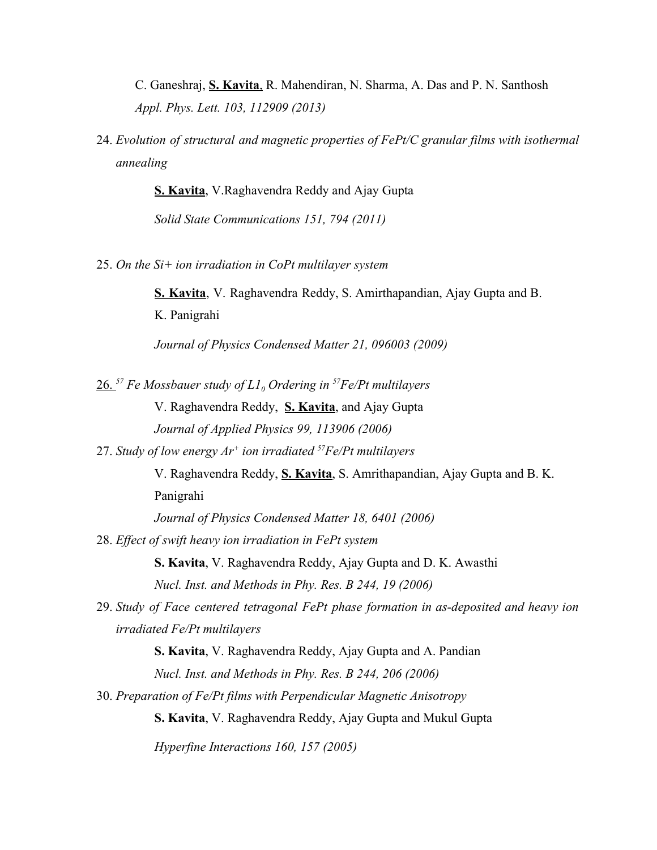C. Ganeshraj, **S. Kavita**, R. Mahendiran, N. Sharma, A. Das and P. N. Santhosh *Appl. Phys. Lett. 103, 112909 (2013)*

24. *Evolution of structural and magnetic properties of FePt/C granular films with isothermal annealing*

**S. Kavita**, V.Raghavendra Reddy and Ajay Gupta

*Solid State Communications 151, 794 (2011)*

25. *On the Si+ ion irradiation in CoPt multilayer system*

**S. Kavita**, V. Raghavendra Reddy, S. Amirthapandian, Ajay Gupta and B. K. Panigrahi

*Journal of Physics Condensed Matter 21, 096003 (2009)*

26. *<sup>57</sup> Fe Mossbauer study of L1<sup>0</sup> Ordering in <sup>57</sup>Fe/Pt multilayers*

V. Raghavendra Reddy, **S. Kavita**, and Ajay Gupta *Journal of Applied Physics 99, 113906 (2006)*

27. *Study of low energy Ar<sup>+</sup> ion irradiated <sup>57</sup>Fe/Pt multilayers*

V. Raghavendra Reddy, **S. Kavita**, S. Amrithapandian, Ajay Gupta and B. K. Panigrahi

*Journal of Physics Condensed Matter 18, 6401 (2006)*

28. *Effect of swift heavy ion irradiation in FePt system*

**S. Kavita**, V. Raghavendra Reddy, Ajay Gupta and D. K. Awasthi *Nucl. Inst. and Methods in Phy. Res. B 244, 19 (2006)*

29. *Study of Face centered tetragonal FePt phase formation in as-deposited and heavy ion irradiated Fe/Pt multilayers*

**S. Kavita**, V. Raghavendra Reddy, Ajay Gupta and A. Pandian

*Nucl. Inst. and Methods in Phy. Res. B 244, 206 (2006)*

30. *Preparation of Fe/Pt films with Perpendicular Magnetic Anisotropy*

**S. Kavita**, V. Raghavendra Reddy, Ajay Gupta and Mukul Gupta

*Hyperfine Interactions 160, 157 (2005)*